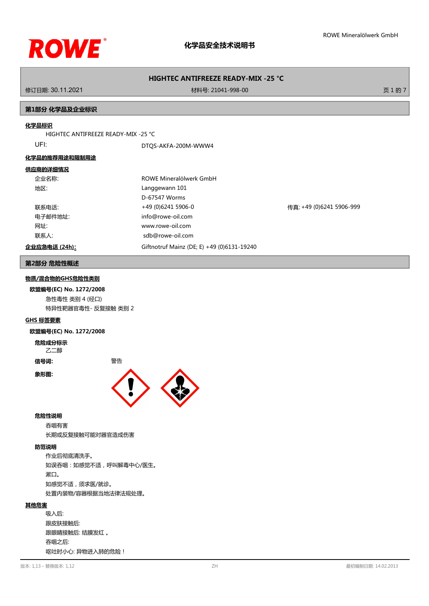

修订日期: 30.11.2021 材料号: 21041-998-00 页 1 的 7

## **第1部分 化学品及企业标识**

#### **化学品标识**

HIGHTEC ANTIFREEZE READY-MIX -25 °C

UFI: DTQS-AKFA-200M-WWW4

## **化学品的推荐用途和限制用途**

#### **供应商的详细情况**

| 企业名称:         | ROWE Mineralölwerk GmbH                    |                          |
|---------------|--------------------------------------------|--------------------------|
| 地区:           | Langgewann 101                             |                          |
|               | D-67547 Worms                              |                          |
| 联系电话:         | +49 (0)6241 5906-0                         | 传真: +49 (0)6241 5906-999 |
| 电子邮件地址:       | info@rowe-oil.com                          |                          |
| 网址:           | www.rowe-oil.com                           |                          |
| 联系人:          | sdb@rowe-oil.com                           |                          |
| 企业应急电话 (24h): | Giftnotruf Mainz (DE; E) +49 (0)6131-19240 |                          |

### **第2部分 危险性概述**

# **物质/混合物的GHS危险性类别**

**欧盟编号(EC) No. 1272/2008** 急性毒性 类别 4 (经口) 特异性靶器官毒性- 反复接触 类别 2

#### **GHS 标签要素**

#### **欧盟编号(EC) No. 1272/2008**

# **危险成分标示**

乙二醇

**信号词:** 警告

## **象形图:**





#### **危险性说明**

吞咽有害 长期或反复接触可能对器官造成伤害

## **防范说明**

作业后彻底清洗手。 如误吞咽:如感觉不适,呼叫解毒中心/医生。 漱口。 如感觉不适,须求医/就诊。 处置内装物/容器根据当地法律法规处理。

#### **其他危害**

吸入后: 跟皮肤接触后: 跟眼睛接触后: 结膜发红 。 吞咽之后: 呕吐时小心: 异物进入肺的危险!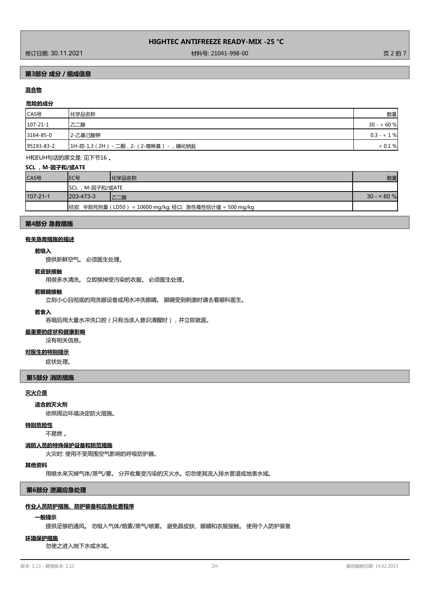修订日期: 30.11.2021 材料号: 21041-998-00 页 2 的 7

# **第3部分 成分/组成信息**

# **混合物**

# **危险的成分**

| CAS号              | 化学品名称                               | 数量          |
|-------------------|-------------------------------------|-------------|
| $107 - 21 - 1$    | 乙二醇                                 | $30 - 60%$  |
| $ 3164 - 85 - 0 $ | 2-乙基己酸钾                             | $0.3 - 1\%$ |
| 95193-83-2        | 1H-茚-1,3(2H) - 二酮,2-(2-喹啉基)<br>磺化钠盐 | < 0.1 %     |

H和EUH句话的原文是: 见下节16 。

#### **SCL ,M-因子和/或ATE**

| CAS号           | EC号                 | 化学品名称                                                     | 数量          |
|----------------|---------------------|-----------------------------------------------------------|-------------|
|                | ,M-因子和/或ATE<br>'SCL |                                                           |             |
| $107 - 21 - 1$ | $1203 - 473 - 3$    | 乙二醇                                                       | $30 - 60$ % |
|                |                     | 经皮: 半致死剂量 ( LD50 ) = 10600 mg/kg; 经口: 急性毒性估计值 = 500 mg/kg |             |

#### **第4部分 急救措施**

## **有关急救措施的描述**

## **若吸入**

提供新鲜空气。 必须医生处理。

# **若皮肤接触**

用很多水清洗。 立即换掉受污染的衣服。 必须医生处理。

#### **若眼睛接触**

立刻小心且彻底的用洗眼设备或用水冲洗眼睛。 眼睛受到刺激时请去看眼科医生。

#### **若食入**

吞咽后用大量水冲洗口腔(只有当该人意识清醒时),并立即就医。

# **最重要的症状和健康影响**

没有相关信息。

## **对医生的特别提示**

症状处理。

#### **第5部分 消防措施**

#### **灭火介质**

**适合的灭火剂**

依照周边环境决定防火措施。

### **特别危险性**

不易燃 。

#### **消防人员的特殊保护设备和防范措施**

火灾时: 使用不受周围空气影响的呼吸防护器。

#### **其他资料**

用喷水来灭掉气体/蒸气/雾。 分开收集受污染的灭火水。切勿使其流入排水管道或地表水域。

**第6部分 泄漏应急处理**

#### **作业人员防护措施、防护装备和应急处置程序**

#### **一般提示**

提供足够的通风。 勿吸入气体/烟雾/蒸气/喷雾。 避免跟皮肤、眼睛和衣服接触。 使用个人防护装备

#### **环境保护措施**

勿使之进入地下水或水域。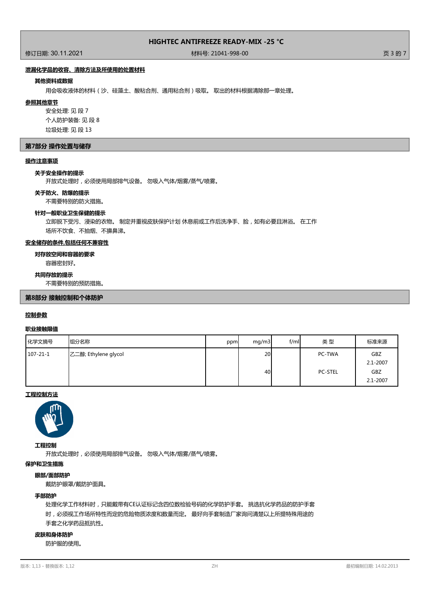修订日期: 30.11.2021 材料号: 21041-998-00 页 3 的 7

# **泄漏化学品的收容、清除方法及所使用的处置材料**

#### **其他资料或数据**

用会吸收液体的材料(沙、硅藻土、酸粘合剂、通用粘合剂)吸取。 取出的材料根据清除那一章处理。

#### **参照其他章节**

安全处理: 见 段 7 个人防护装备: 见 段 8 垃圾处理: 见 段 13

#### **第7部分 操作处置与储存**

# **操作注意事项**

#### **关于安全操作的提示**

开放式处理时,必须使用局部排气设备。 勿吸入气体/烟雾/蒸气/喷雾。

#### **关于防火、防爆的提示**

不需要特别的防火措施。

#### **针对一般职业卫生保健的提示**

立即脱下受污、浸染的衣物。 制定并重视皮肤保护计划 休息前或工作后洗净手、脸,如有必要且淋浴。 在工作 场所不饮食、不抽烟、不擤鼻涕。

## **安全储存的条件,包括任何不兼容性**

# **对存放空间和容器的要求**

容器密封好。

#### **共同存放的提示**

不需要特别的预防措施。

#### **第8部分 接触控制和个体防护**

#### **控制参数**

#### **职业接触限值**

| 化学文摘号          | 组分名称                 | ppm | mq/m3    | f/ml | 类型                       | 标准来源                                       |
|----------------|----------------------|-----|----------|------|--------------------------|--------------------------------------------|
| $107 - 21 - 1$ | 乙二醇; Ethylene glycol |     | 20<br>40 |      | PC-TWA<br><b>PC-STEL</b> | GBZ<br>$2.1 - 2007$<br>GBZ<br>$2.1 - 2007$ |

# **工程控制方法**



#### **工程控制**

开放式处理时,必须使用局部排气设备。 勿吸入气体/烟雾/蒸气/喷雾。

### **保护和卫生措施**

#### **眼部/面部防护**

戴防护眼罩/戴防护面具。

#### **手部防护**

处理化学工作材料时,只能戴带有CE认证标记含四位数检验号码的化学防护手套。 挑选抗化学药品的防护手套 时,必须视工作场所特性而定的危险物质浓度和数量而定。 最好向手套制造厂家询问清楚以上所提特殊用途的 手套之化学药品抵抗性。

#### **皮肤和身体防护**

防护服的使用。

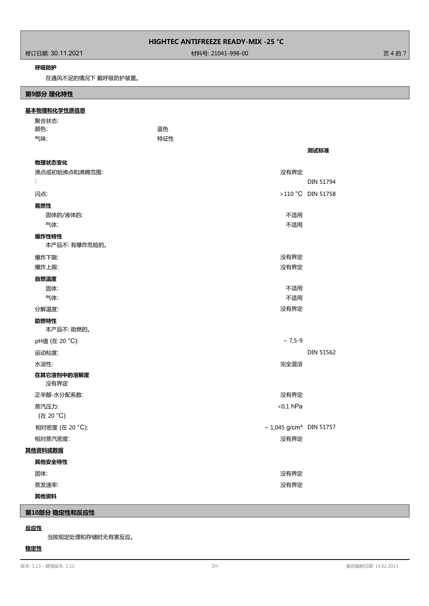修订日期: 30.11.2021 材料号: 21041-998-00 页 4 的 7

## **呼吸防护**

在通风不足的情况下 戴呼吸防护装置。

# 聚合状态: **基本物理和化学性质信息 第9部分 理化特性 颜色: いっきょう あんしゃ あんしゃ あんしゃ あんしゃ 正色** 气味: 特征性 **测试标准 物理状态变化** 沸点或初始沸点和沸腾范围: 没有界定 : DIN 51794 闪点: >110 °C DIN 51758 **易燃性** 固体的/液体的: 不适用 气体: ファイン アンディスク しょうしょう しょうしょう しょうしょう しょうしゅう アイエント 不适用 本产品不: 有爆炸危险的。 **爆炸性特性** 爆炸下限: 没有界定 爆炸上限: 没有界定 **自燃温度** 固体: フィング スタック こうしょう しょうしょう しょうしょう しょうしょう こうしょう こうしょう 不适用 气体: ファイン アンディスク しょうしょう しょうしょう しょうしょう しょうしゅう アイエント 不适用 分解温度: 没有界定 本产品不: 助燃的。 **助燃特性** pH值 (在 20 °C):  $\sim$  7,5-9 运动粘度: DIN 51562 水溶性: 完全混溶 **在其它溶剂中的溶解度** 没有界定 正辛醇-水分配系数: 没有界定 蒸汽压力: <0,1 hPa (在 20 °C) 相对密度 (在 20 °C):  $\sim 1,045 \text{ g/cm}^3$  DIN 51757 相对蒸汽密度: とのことをある しょうがく しょうがく しょうがく かんきょう おおとこ おおとこ おおところ おおところ おおところ おおところ おおところ おおところ にっぽん こうしょう **其他资料或数据 其他安全特性** 固体: 没有界定 蒸发速率: 没有界定 **其他资料**

# **第10部分 稳定性和反应性**

# **反应性**

当按规定处理和存储时无有害反应。

# **稳定性**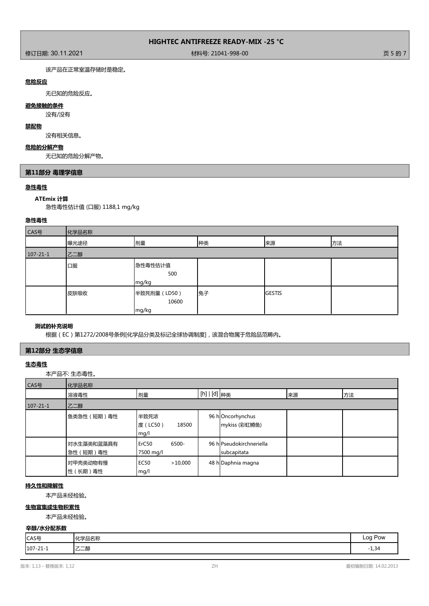修订日期: 30.11.2021 材料号: 21041-998-00 页 5 的 7

该产品在正常室温存储时是稳定。

# **危险反应**

无已知的危险反应。

# **避免接触的条件**

没有/没有

# **禁配物**

没有相关信息。

# **危险的分解产物**

无已知的危险分解产物。

# **第11部分 毒理学信息**

# **急性毒性**

# **ATEmix 计算**

急性毒性估计值 (口服) 1188,1 mg/kg

# **急性毒性**

| CAS号           | 化学品名称 |                                |    |               |    |
|----------------|-------|--------------------------------|----|---------------|----|
|                | 曝光途径  | 剂量                             | 种类 | 来源            | 方法 |
| $107 - 21 - 1$ | 乙二醇   |                                |    |               |    |
|                | 口服    | 急性毒性估计值<br>500<br>mg/kg        |    |               |    |
|                | 皮肤吸收  | 半致死剂量 (LD50)<br>10600<br>mg/kg | 兔子 | <b>GESTIS</b> |    |

# **测试的补充说明**

根据(EC)第1272/2008号条例[化学品分类及标记全球协调制度],该混合物属于危险品范畴内。

# **第12部分 生态学信息**

# **生态毒性**

本产品不: 生态毒性。

| CAS号           | 化学品名称                   |                                         |                                         |    |    |
|----------------|-------------------------|-----------------------------------------|-----------------------------------------|----|----|
|                | 溶液毒性                    | 剂量                                      | [h]   [d] <sub>种类</sub>                 | 来源 | 方法 |
| $107 - 21 - 1$ | 乙二醇                     |                                         |                                         |    |    |
|                | 鱼类急性 (短期)毒性             | 半致死浓<br>度(LC50)<br>18500<br>mg/l        | 96 hOncorhynchus<br>mykiss (彩虹鳟鱼)       |    |    |
|                | 对水生藻类和蓝藻具有<br>急性 (短期)毒性 | 6500-<br>ErC <sub>50</sub><br>7500 mg/l | 96 hlPseudokirchneriella<br>subcapitata |    |    |
|                | 对甲壳类动物有慢<br>性 (长期) 毒性   | EC <sub>50</sub><br>>10,000<br>mg/l     | 48 h Daphnia magna                      |    |    |

# **持久性和降解性**

本产品未经检验。

# **生物富集或生物积累性**

本产品未经检验。

# **辛醇/水分配系数**

| CAS号           | $I\cup\rightarrow\blacksquare$<br>力功<br>- -<br>- 0010小 | <b>Pow</b><br>ററ<br>- - - - - -<br>-- ാ |
|----------------|--------------------------------------------------------|-----------------------------------------|
| $107 - 21 - 1$ | 乙二醇                                                    | $\overline{\phantom{0}}$<br>34ء س       |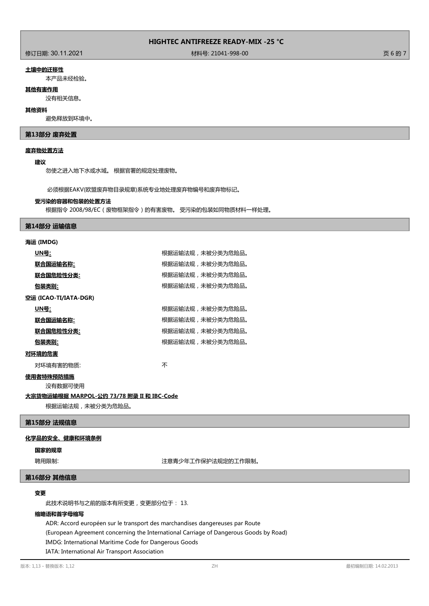作为<br>1999年 - 1999年 - 1999年 - 1999年 - 1999年 - 1999年 - 1999年 - 1999年 - 1999年 - 1999年 - 1999年 - 1999年 - 1999年 - 1999年<br>1999年 - 1999年 - 1999年 - 1999年 - 1999年 - 1999年 - 1999年 - 1999年 - 1999年 - 1999年 - 1999年 - 1999年 - 1999年 - 199

#### **土壤中的迁移性**

本产品未经检验。

## **其他有害作用**

没有相关信息。

#### **其他资料**

避免释放到环境中。

## **第13部分 废弃处置**

#### **废弃物处置方法**

#### **建议**

勿使之进入地下水或水域。 根据官署的规定处理废物。

必须根据EAKV(欧盟废弃物目录规章)系统专业地处理废弃物编号和废弃物标记。

#### **受污染的容器和包装的处置方法**

根据指令 2008/98/EC(废物框架指令)的有害废物。 受污染的包装如同物质材料一样处理。

#### **第14部分 运输信息**

**ALACTER** (IMDG)

| 海运 (IMDG)             |                  |
|-----------------------|------------------|
| UN号:                  | 根据运输法规,未被分类为危险品。 |
| <u> 联合国运输名称:</u>      | 根据运输法规,未被分类为危险品。 |
| 联合国危险性分类:             | 根据运输法规,未被分类为危险品。 |
| 包装类别:                 | 根据运输法规,未被分类为危险品。 |
| 空运 (ICAO-TI/IATA-DGR) |                  |
| UN号:                  | 根据运输法规,未被分类为危险品。 |
| 联合国运输名称:              | 根据运输法规,未被分类为危险品。 |
| 联合国危险性分类:             | 根据运输法规,未被分类为危险品。 |
| 包装类别:                 | 根据运输法规,未被分类为危险品。 |
| 对环境的危害                |                  |
|                       |                  |

对环境有害的物质: オオン インタン あいしゃ 不安 しょうかん ふくしゃ

# **使用者特殊预防措施**

没有数据可使用

### **大宗货物运输根据 MARPOL-公约 73/78 附录 II 和 IBC-Code**

根据运输法规,未被分类为危险品。

# **第15部分 法规信息**

#### **化学品的安全、健康和环境条例**

#### **国家的规章**

聘用限制: 第六十四章 第二十四章 第二十一章 注意青少年工作保护法规定的工作限制。

# **第16部分 其他信息**

# **变更**

此技术说明书与之前的版本有所变更,变更部分位于: 13.

#### **缩略语和首字母缩写**

ADR: Accord européen sur le transport des marchandises dangereuses par Route (European Agreement concerning the International Carriage of Dangerous Goods by Road) IMDG: International Maritime Code for Dangerous Goods

IATA: International Air Transport Association